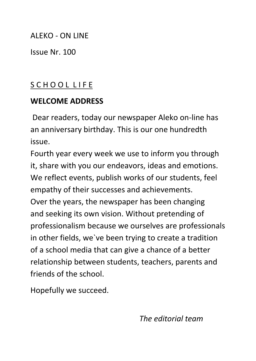#### ALEKO - ON LINE

Issue Nr. 100

# S C H O O L L I F E

#### **WELCOME ADDRESS**

Dear readers, today our newspaper Aleko on-line has an anniversary birthday. This is our one hundredth issue.

Fourth year every week we use to inform you through it, share with you our endeavors, ideas and emotions. We reflect events, publish works of our students, feel empathy of their successes and achievements. Over the years, the newspaper has been changing and seeking its own vision. Without pretending of professionalism because we ourselves are professionals in other fields, we`ve been trying to create a tradition of a school media that can give a chance of a better relationship between students, teachers, parents and friends of the school.

Hopefully we succeed.

*The editorial team*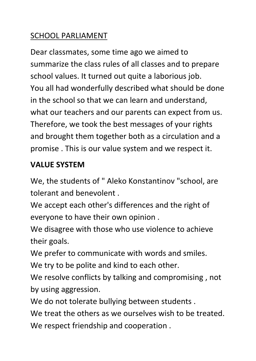# SCHOOL PARLIAMENT

Dear classmates, some time ago we aimed to summarize the class rules of all classes and to prepare school values. It turned out quite a laborious job. You all had wonderfully described what should be done in the school so that we can learn and understand, what our teachers and our parents can expect from us. Therefore, we took the best messages of your rights and brought them together both as a circulation and a promise . This is our value system and we respect it.

#### **VALUE SYSTEM**

We, the students of " Aleko Konstantinov "school, are tolerant and benevolent .

We accept each other's differences and the right of everyone to have their own opinion .

We disagree with those who use violence to achieve their goals.

We prefer to communicate with words and smiles.

We try to be polite and kind to each other.

We resolve conflicts by talking and compromising , not by using aggression.

We do not tolerate bullying between students.

We treat the others as we ourselves wish to be treated. We respect friendship and cooperation .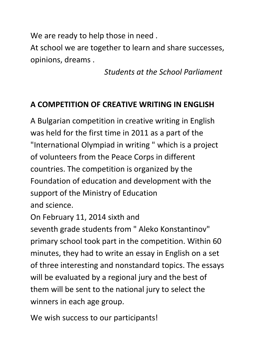We are ready to help those in need.

At school we are together to learn and share successes, opinions, dreams .

 *Students at the School Parliament*

#### **A COMPETITION OF CREATIVE WRITING IN ENGLISH**

A Bulgarian competition in creative writing in English was held for the first time in 2011 as a part of the "International Olympiad in writing " which is a project of volunteers from the Peace Corps in different countries. The competition is organized by the Foundation of education and development with the support of the Ministry of Education and science.

On February 11, 2014 sixth and

seventh grade students from " Aleko Konstantinov" primary school took part in the competition. Within 60 minutes, they had to write an essay in English on a set of three interesting and nonstandard topics. The essays will be evaluated by a regional jury and the best of them will be sent to the national jury to select the winners in each age group.

We wish success to our participants!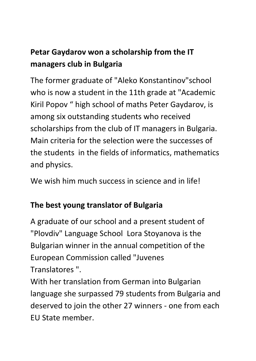# **Petar Gaydarov won a scholarship from the IT managers club in Bulgaria**

The former graduate of "Aleko Konstantinov"school who is now a student in the 11th grade at "Academic Kiril Popov " high school of maths Peter Gaydarov, is among six outstanding students who received scholarships from the club of IT managers in Bulgaria. Main criteria for the selection were the successes of the students in the fields of informatics, mathematics and physics.

We wish him much success in science and in life!

#### **The best young translator of Bulgaria**

A graduate of our school and a present student of "Plovdiv" Language School Lora Stoyanova is the Bulgarian winner in the annual competition of the European Commission called "Juvenes Translatores ".

With her translation from German into Bulgarian language she surpassed 79 students from Bulgaria and deserved to join the other 27 winners - one from each EU State member.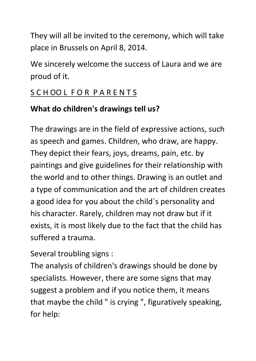They will all be invited to the ceremony, which will take place in Brussels on April 8, 2014.

We sincerely welcome the success of Laura and we are proud of it.

# S C H OO L F O R P A R E N T S

#### **What do children's drawings tell us?**

The drawings are in the field of expressive actions, such as speech and games. Children, who draw, are happy. They depict their fears, joys, dreams, pain, etc. by paintings and give guidelines for their relationship with the world and to other things. Drawing is an outlet and a type of communication and the art of children creates a good idea for you about the child`s personality and his character. Rarely, children may not draw but if it exists, it is most likely due to the fact that the child has suffered a trauma.

Several troubling signs :

The analysis of children's drawings should be done by specialists. However, there are some signs that may suggest a problem and if you notice them, it means that maybe the child " is crying " , figuratively speaking, for help: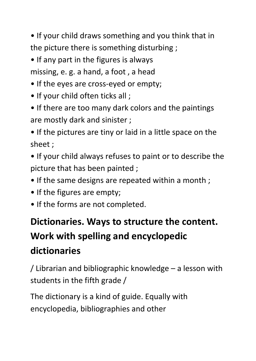• If your child draws something and you think that in the picture there is something disturbing ;

• If any part in the figures is always

missing, e. g. a hand, a foot , a head

- If the eyes are cross-eyed or empty;
- If your child often ticks all ;
- If there are too many dark colors and the paintings are mostly dark and sinister ;
- If the pictures are tiny or laid in a little space on the sheet ;
- If your child always refuses to paint or to describe the picture that has been painted ;
- If the same designs are repeated within a month;
- If the figures are empty;
- If the forms are not completed.

# **Dictionaries. Ways to structure the content. Work with spelling and encyclopedic dictionaries**

/ Librarian and bibliographic knowledge – a lesson with students in the fifth grade /

The dictionary is a kind of guide. Equally with encyclopedia, bibliographies and other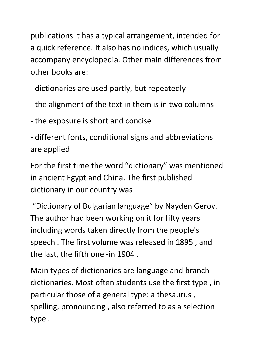publications it has a typical arrangement, intended for a quick reference. It also has no indices, which usually accompany encyclopedia. Other main differences from other books are:

- dictionaries are used partly, but repeatedly

- the alignment of the text in them is in two columns

- the exposure is short and concise

- different fonts, conditional signs and abbreviations are applied

For the first time the word "dictionary" was mentioned in ancient Egypt and China. The first published dictionary in our country was

"Dictionary of Bulgarian language" by Nayden Gerov. The author had been working on it for fifty years including words taken directly from the people's speech . The first volume was released in 1895 , and the last, the fifth one -in 1904 .

Main types of dictionaries are language and branch dictionaries. Most often students use the first type , in particular those of a general type: a thesaurus , spelling, pronouncing , also referred to as a selection type .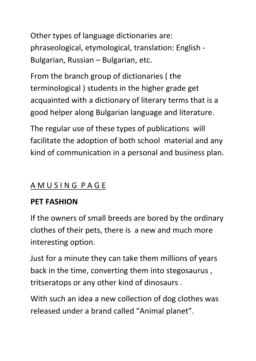Other types of language dictionaries are: phraseological, etymological, translation: English - Bulgarian, Russian – Bulgarian, etc.

From the branch group of dictionaries ( the terminological ) students in the higher grade get acquainted with a dictionary of literary terms that is a good helper along Bulgarian language and literature.

The regular use of these types of publications will facilitate the adoption of both school material and any kind of communication in a personal and business plan.

# A M U S I N G P A G E

#### **PET FASHION**

If the owners of small breeds are bored by the ordinary clothes of their pets, there is a new and much more interesting option.

Just for a minute they can take them millions of years back in the time, converting them into stegosaurus , tritseratops or any other kind of dinosaurs .

With such an idea a new collection of dog clothes was released under a brand called "Animal planet".